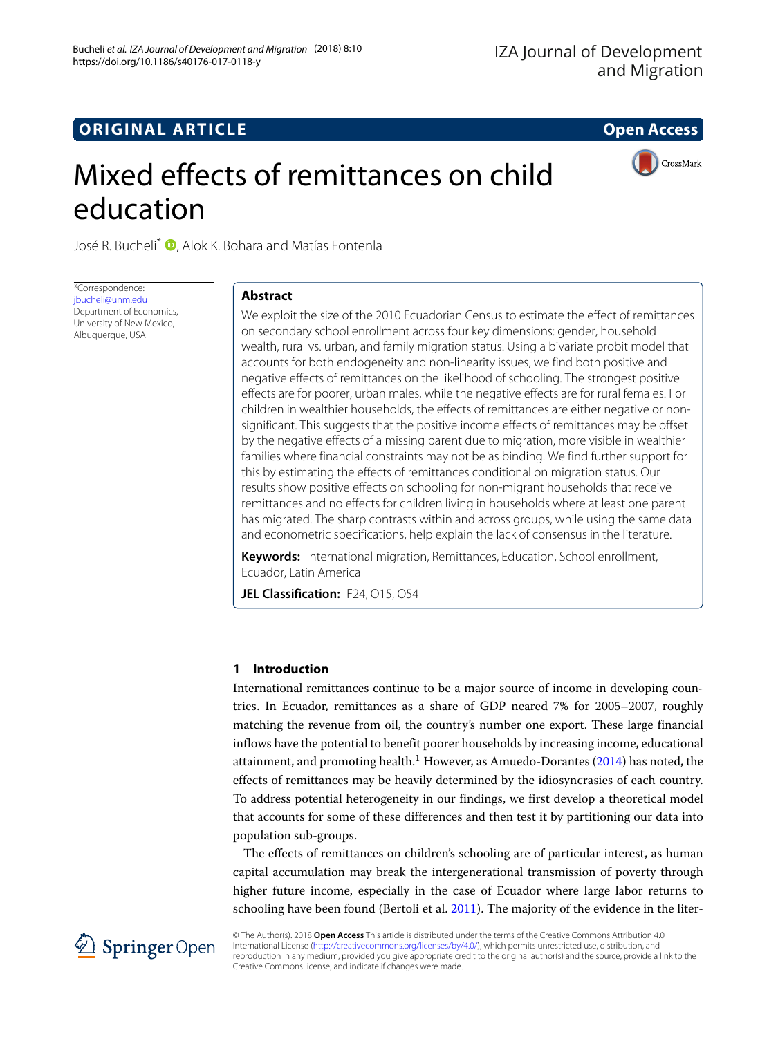# **ORIGINAL ARTICLE Open Access**

CrossMark

# Mixed effects of remittances on child education

José R. Bucheli<sup>\*</sup> <sup>(D</sup>[,](http://orcid.org/0000-0002-3311-8086) Alok K. Bohara and Matías Fontenla

\*Correspondence: [jbucheli@unm.edu](mailto: jbucheli@unm.edu) Department of Economics, University of New Mexico, Albuquerque, USA

# **Abstract**

We exploit the size of the 2010 Ecuadorian Census to estimate the effect of remittances on secondary school enrollment across four key dimensions: gender, household wealth, rural vs. urban, and family migration status. Using a bivariate probit model that accounts for both endogeneity and non-linearity issues, we find both positive and negative effects of remittances on the likelihood of schooling. The strongest positive effects are for poorer, urban males, while the negative effects are for rural females. For children in wealthier households, the effects of remittances are either negative or nonsignificant. This suggests that the positive income effects of remittances may be offset by the negative effects of a missing parent due to migration, more visible in wealthier families where financial constraints may not be as binding. We find further support for this by estimating the effects of remittances conditional on migration status. Our results show positive effects on schooling for non-migrant households that receive remittances and no effects for children living in households where at least one parent has migrated. The sharp contrasts within and across groups, while using the same data and econometric specifications, help explain the lack of consensus in the literature.

**Keywords:** International migration, Remittances, Education, School enrollment, Ecuador, Latin America

**JEL Classification:** F24, 015, 054

# **1 Introduction**

International remittances continue to be a major source of income in developing countries. In Ecuador, remittances as a share of GDP neared 7% for 2005–2007, roughly matching the revenue from oil, the country's number one export. These large financial inflows have the potential to benefit poorer households by increasing income, educational attainment, and promoting health.<sup>1</sup> However, as Amuedo-Dorantes [\(2014\)](#page-16-0) has noted, the effects of remittances may be heavily determined by the idiosyncrasies of each country. To address potential heterogeneity in our findings, we first develop a theoretical model that accounts for some of these differences and then test it by partitioning our data into population sub-groups.

The effects of remittances on children's schooling are of particular interest, as human capital accumulation may break the intergenerational transmission of poverty through higher future income, especially in the case of Ecuador where large labor returns to schooling have been found (Bertoli et al. [2011\)](#page-16-1). The majority of the evidence in the liter-



© The Author(s). 2018 **Open Access** This article is distributed under the terms of the Creative Commons Attribution 4.0 International License [\(http://creativecommons.org/licenses/by/4.0/\)](http://creativecommons.org/licenses/by/4.0/), which permits unrestricted use, distribution, and reproduction in any medium, provided you give appropriate credit to the original author(s) and the source, provide a link to the Creative Commons license, and indicate if changes were made.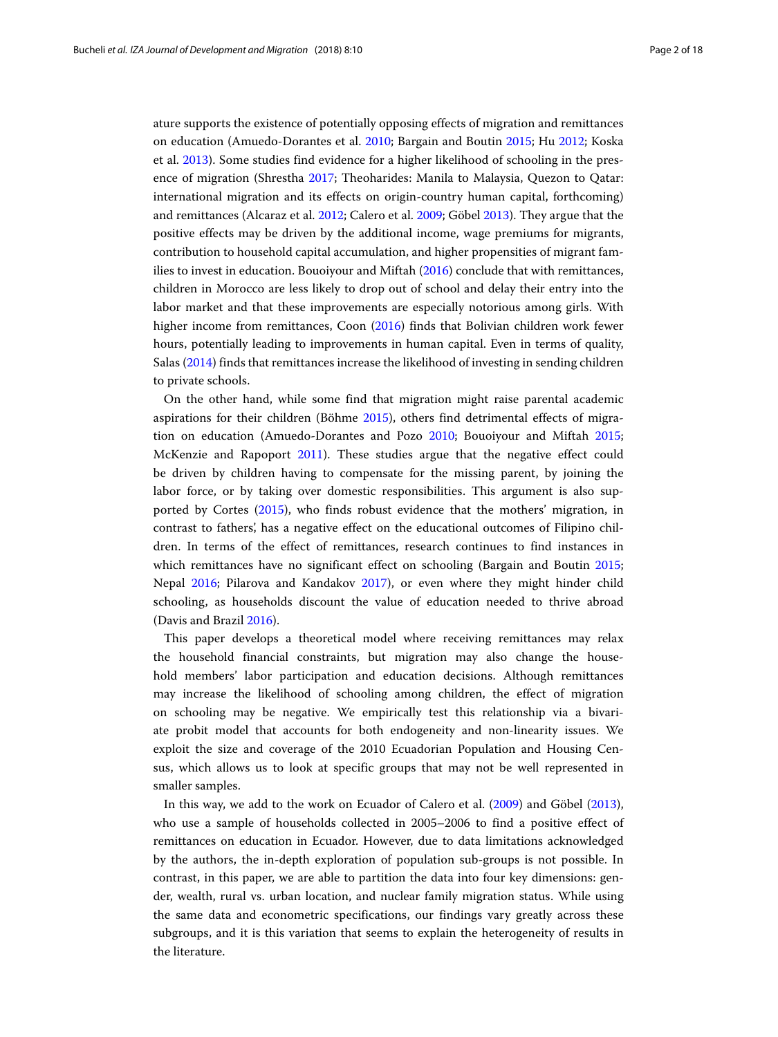ature supports the existence of potentially opposing effects of migration and remittances on education (Amuedo-Dorantes et al. [2010;](#page-16-2) Bargain and Boutin [2015;](#page-16-3) Hu [2012;](#page-16-4) Koska et al. [2013\)](#page-16-5). Some studies find evidence for a higher likelihood of schooling in the presence of migration (Shrestha [2017;](#page-17-0) Theoharides: Manila to Malaysia, Quezon to Qatar: international migration and its effects on origin-country human capital, forthcoming) and remittances (Alcaraz et al. [2012;](#page-16-6) Calero et al. [2009;](#page-16-7) Göbel [2013\)](#page-16-8). They argue that the positive effects may be driven by the additional income, wage premiums for migrants, contribution to household capital accumulation, and higher propensities of migrant families to invest in education. Bouoiyour and Miftah [\(2016\)](#page-16-9) conclude that with remittances, children in Morocco are less likely to drop out of school and delay their entry into the labor market and that these improvements are especially notorious among girls. With higher income from remittances, Coon [\(2016\)](#page-16-10) finds that Bolivian children work fewer hours, potentially leading to improvements in human capital. Even in terms of quality, Salas [\(2014\)](#page-17-1) finds that remittances increase the likelihood of investing in sending children to private schools.

On the other hand, while some find that migration might raise parental academic aspirations for their children (Böhme [2015\)](#page-16-11), others find detrimental effects of migration on education (Amuedo-Dorantes and Pozo [2010;](#page-16-12) Bouoiyour and Miftah [2015;](#page-16-13) McKenzie and Rapoport [2011\)](#page-16-14). These studies argue that the negative effect could be driven by children having to compensate for the missing parent, by joining the labor force, or by taking over domestic responsibilities. This argument is also supported by Cortes [\(2015\)](#page-16-15), who finds robust evidence that the mothers' migration, in contrast to fathers', has a negative effect on the educational outcomes of Filipino children. In terms of the effect of remittances, research continues to find instances in which remittances have no significant effect on schooling (Bargain and Boutin [2015;](#page-16-3) Nepal [2016;](#page-17-2) Pilarova and Kandakov [2017\)](#page-17-3), or even where they might hinder child schooling, as households discount the value of education needed to thrive abroad (Davis and Brazil [2016\)](#page-16-16).

This paper develops a theoretical model where receiving remittances may relax the household financial constraints, but migration may also change the household members' labor participation and education decisions. Although remittances may increase the likelihood of schooling among children, the effect of migration on schooling may be negative. We empirically test this relationship via a bivariate probit model that accounts for both endogeneity and non-linearity issues. We exploit the size and coverage of the 2010 Ecuadorian Population and Housing Census, which allows us to look at specific groups that may not be well represented in smaller samples.

In this way, we add to the work on Ecuador of Calero et al. [\(2009\)](#page-16-7) and Göbel [\(2013\)](#page-16-8), who use a sample of households collected in 2005–2006 to find a positive effect of remittances on education in Ecuador. However, due to data limitations acknowledged by the authors, the in-depth exploration of population sub-groups is not possible. In contrast, in this paper, we are able to partition the data into four key dimensions: gender, wealth, rural vs. urban location, and nuclear family migration status. While using the same data and econometric specifications, our findings vary greatly across these subgroups, and it is this variation that seems to explain the heterogeneity of results in the literature.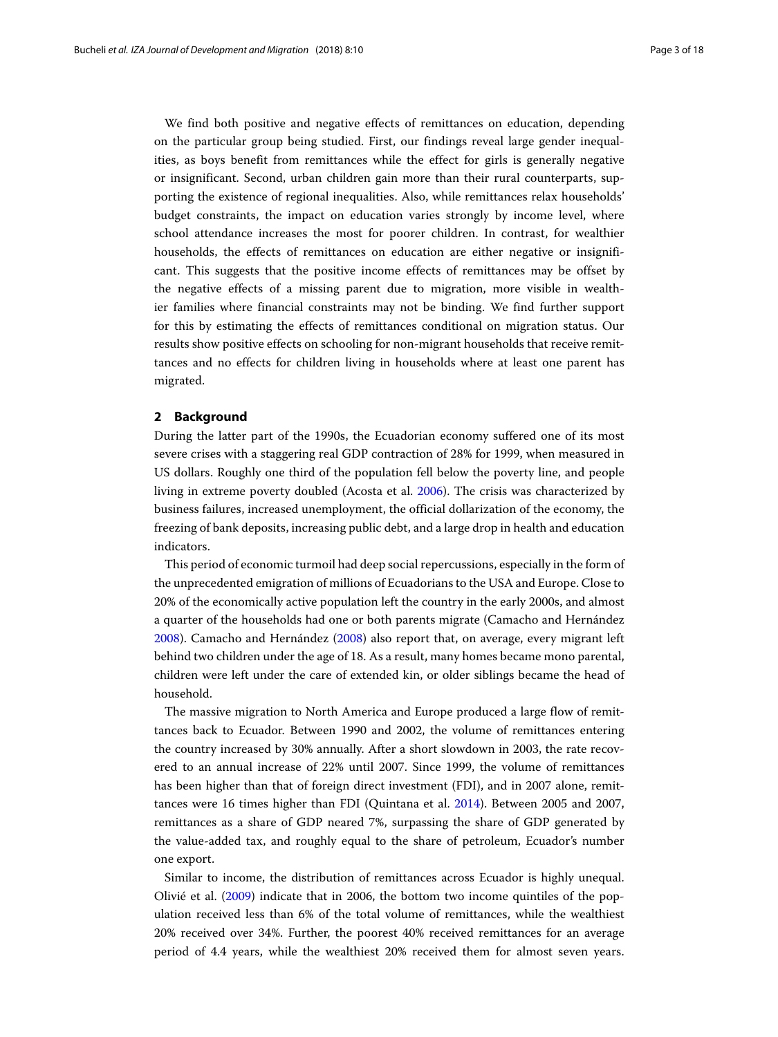We find both positive and negative effects of remittances on education, depending on the particular group being studied. First, our findings reveal large gender inequalities, as boys benefit from remittances while the effect for girls is generally negative or insignificant. Second, urban children gain more than their rural counterparts, supporting the existence of regional inequalities. Also, while remittances relax households' budget constraints, the impact on education varies strongly by income level, where school attendance increases the most for poorer children. In contrast, for wealthier households, the effects of remittances on education are either negative or insignificant. This suggests that the positive income effects of remittances may be offset by the negative effects of a missing parent due to migration, more visible in wealthier families where financial constraints may not be binding. We find further support for this by estimating the effects of remittances conditional on migration status. Our results show positive effects on schooling for non-migrant households that receive remittances and no effects for children living in households where at least one parent has migrated.

#### **2 Background**

During the latter part of the 1990s, the Ecuadorian economy suffered one of its most severe crises with a staggering real GDP contraction of 28% for 1999, when measured in US dollars. Roughly one third of the population fell below the poverty line, and people living in extreme poverty doubled (Acosta et al. [2006\)](#page-16-17). The crisis was characterized by business failures, increased unemployment, the official dollarization of the economy, the freezing of bank deposits, increasing public debt, and a large drop in health and education indicators.

This period of economic turmoil had deep social repercussions, especially in the form of the unprecedented emigration of millions of Ecuadorians to the USA and Europe. Close to 20% of the economically active population left the country in the early 2000s, and almost a quarter of the households had one or both parents migrate (Camacho and Hernández [2008\)](#page-16-18). Camacho and Hernández [\(2008\)](#page-16-18) also report that, on average, every migrant left behind two children under the age of 18. As a result, many homes became mono parental, children were left under the care of extended kin, or older siblings became the head of household.

The massive migration to North America and Europe produced a large flow of remittances back to Ecuador. Between 1990 and 2002, the volume of remittances entering the country increased by 30% annually. After a short slowdown in 2003, the rate recovered to an annual increase of 22% until 2007. Since 1999, the volume of remittances has been higher than that of foreign direct investment (FDI), and in 2007 alone, remittances were 16 times higher than FDI (Quintana et al. [2014\)](#page-17-4). Between 2005 and 2007, remittances as a share of GDP neared 7%, surpassing the share of GDP generated by the value-added tax, and roughly equal to the share of petroleum, Ecuador's number one export.

Similar to income, the distribution of remittances across Ecuador is highly unequal. Olivié et al. [\(2009\)](#page-17-5) indicate that in 2006, the bottom two income quintiles of the population received less than 6% of the total volume of remittances, while the wealthiest 20% received over 34%. Further, the poorest 40% received remittances for an average period of 4.4 years, while the wealthiest 20% received them for almost seven years.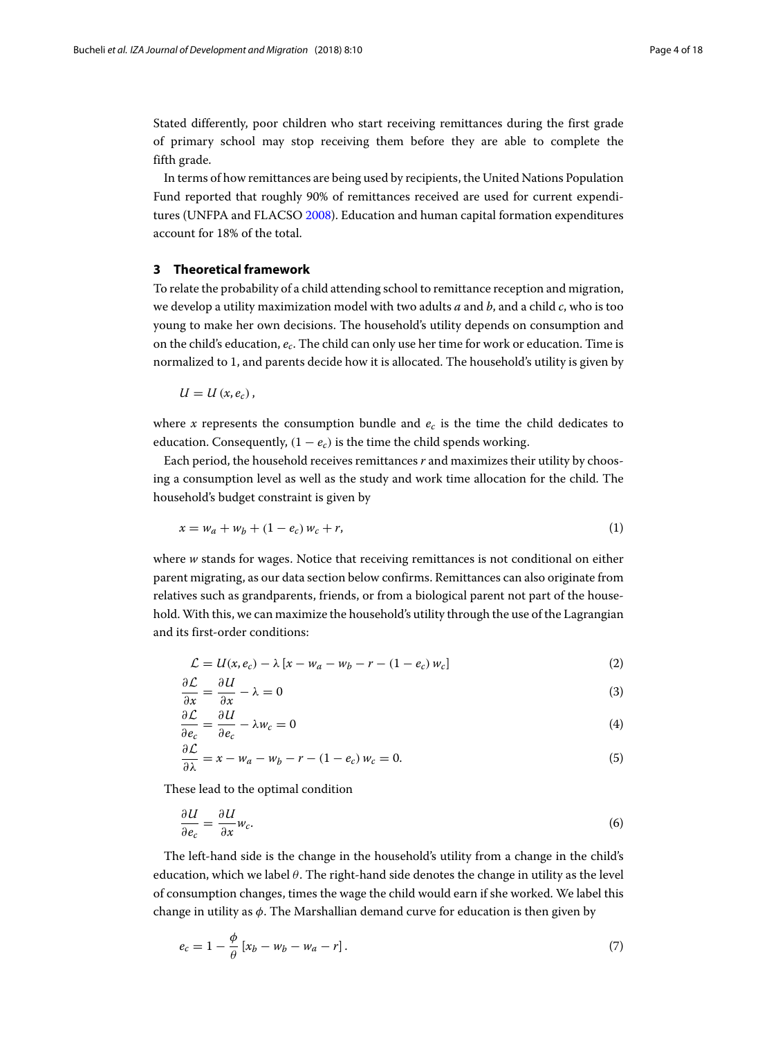Stated differently, poor children who start receiving remittances during the first grade of primary school may stop receiving them before they are able to complete the fifth grade.

In terms of how remittances are being used by recipients, the United Nations Population Fund reported that roughly 90% of remittances received are used for current expenditures (UNFPA and FLACSO [2008\)](#page-17-6). Education and human capital formation expenditures account for 18% of the total.

#### **3 Theoretical framework**

To relate the probability of a child attending school to remittance reception and migration, we develop a utility maximization model with two adults *a* and *b*, and a child *c*, who is too young to make her own decisions. The household's utility depends on consumption and on the child's education, *ec*. The child can only use her time for work or education. Time is normalized to 1, and parents decide how it is allocated. The household's utility is given by

$$
U=U\left( x,e_{c}\right) ,
$$

where *x* represents the consumption bundle and  $e_c$  is the time the child dedicates to education. Consequently,  $(1 - e_c)$  is the time the child spends working.

Each period, the household receives remittances *r* and maximizes their utility by choosing a consumption level as well as the study and work time allocation for the child. The household's budget constraint is given by

$$
x = w_a + w_b + (1 - e_c) w_c + r,
$$
\n(1)

where *w* stands for wages. Notice that receiving remittances is not conditional on either parent migrating, as our data section below confirms. Remittances can also originate from relatives such as grandparents, friends, or from a biological parent not part of the household. With this, we can maximize the household's utility through the use of the Lagrangian and its first-order conditions:

$$
\mathcal{L} = U(x, e_c) - \lambda \left[ x - w_a - w_b - r - (1 - e_c) w_c \right] \tag{2}
$$

$$
\frac{\partial \mathcal{L}}{\partial x} = \frac{\partial U}{\partial x} - \lambda = 0 \tag{3}
$$

$$
\frac{\partial \mathcal{L}}{\partial e_c} = \frac{\partial U}{\partial e_c} - \lambda w_c = 0 \tag{4}
$$

$$
\frac{\partial \mathcal{L}}{\partial \lambda} = x - w_a - w_b - r - (1 - e_c) w_c = 0.
$$
\n(5)

These lead to the optimal condition

<span id="page-3-1"></span>
$$
\frac{\partial U}{\partial e_c} = \frac{\partial U}{\partial x} w_c.
$$
\n<sup>(6)</sup>

The left-hand side is the change in the household's utility from a change in the child's education, which we label  $\theta$ . The right-hand side denotes the change in utility as the level of consumption changes, times the wage the child would earn if she worked. We label this change in utility as  $\phi$ . The Marshallian demand curve for education is then given by

<span id="page-3-0"></span>
$$
e_c = 1 - \frac{\phi}{\theta} \left[ x_b - w_b - w_a - r \right]. \tag{7}
$$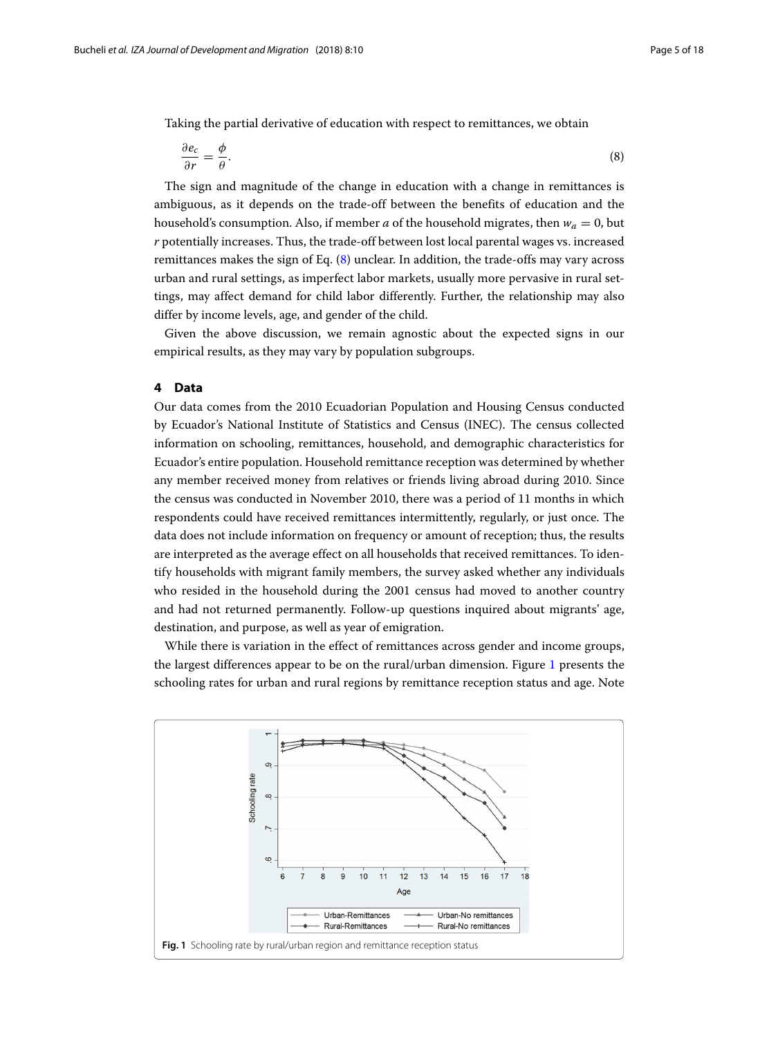Taking the partial derivative of education with respect to remittances, we obtain

<span id="page-4-0"></span>
$$
\frac{\partial e_c}{\partial r} = \frac{\phi}{\theta}.\tag{8}
$$

The sign and magnitude of the change in education with a change in remittances is ambiguous, as it depends on the trade-off between the benefits of education and the household's consumption. Also, if member *a* of the household migrates, then  $w_a = 0$ , but *r* potentially increases. Thus, the trade-off between lost local parental wages vs. increased remittances makes the sign of Eq. [\(8\)](#page-4-0) unclear. In addition, the trade-offs may vary across urban and rural settings, as imperfect labor markets, usually more pervasive in rural settings, may affect demand for child labor differently. Further, the relationship may also differ by income levels, age, and gender of the child.

Given the above discussion, we remain agnostic about the expected signs in our empirical results, as they may vary by population subgroups.

# **4 Data**

Our data comes from the 2010 Ecuadorian Population and Housing Census conducted by Ecuador's National Institute of Statistics and Census (INEC). The census collected information on schooling, remittances, household, and demographic characteristics for Ecuador's entire population. Household remittance reception was determined by whether any member received money from relatives or friends living abroad during 2010. Since the census was conducted in November 2010, there was a period of 11 months in which respondents could have received remittances intermittently, regularly, or just once. The data does not include information on frequency or amount of reception; thus, the results are interpreted as the average effect on all households that received remittances. To identify households with migrant family members, the survey asked whether any individuals who resided in the household during the 2001 census had moved to another country and had not returned permanently. Follow-up questions inquired about migrants' age, destination, and purpose, as well as year of emigration.

While there is variation in the effect of remittances across gender and income groups, the largest differences appear to be on the rural/urban dimension. Figure [1](#page-4-1) presents the schooling rates for urban and rural regions by remittance reception status and age. Note

<span id="page-4-1"></span>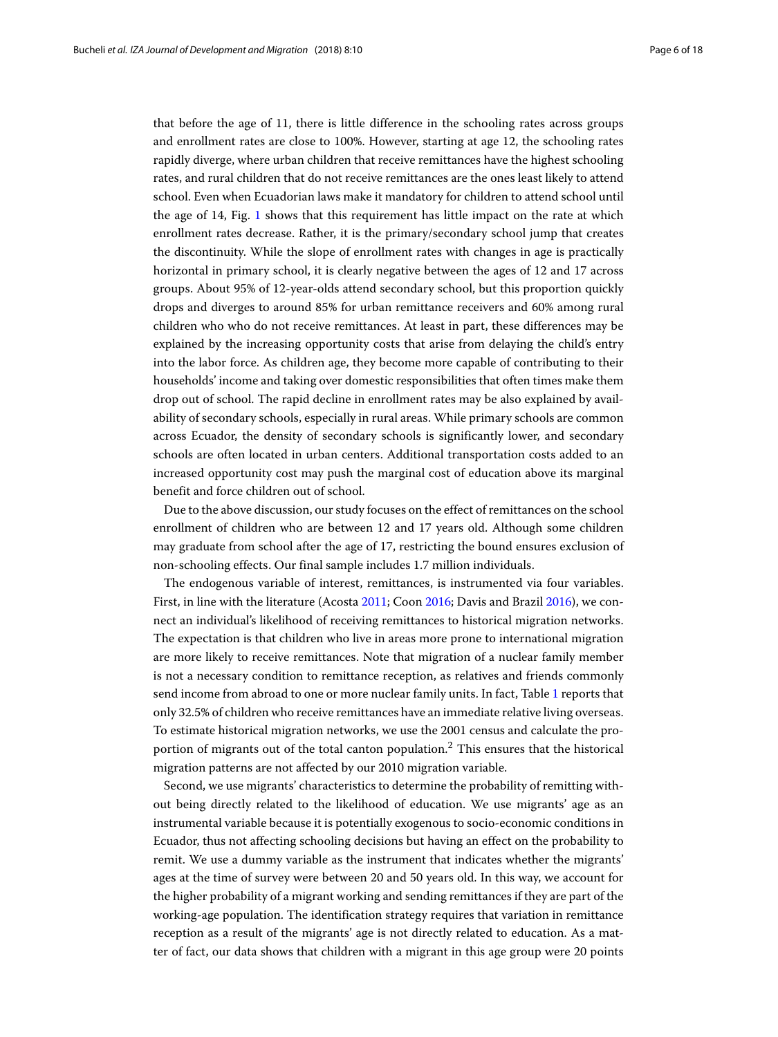that before the age of 11, there is little difference in the schooling rates across groups and enrollment rates are close to 100%. However, starting at age 12, the schooling rates rapidly diverge, where urban children that receive remittances have the highest schooling rates, and rural children that do not receive remittances are the ones least likely to attend school. Even when Ecuadorian laws make it mandatory for children to attend school until the age of 14, Fig. [1](#page-4-1) shows that this requirement has little impact on the rate at which enrollment rates decrease. Rather, it is the primary/secondary school jump that creates the discontinuity. While the slope of enrollment rates with changes in age is practically horizontal in primary school, it is clearly negative between the ages of 12 and 17 across groups. About 95% of 12-year-olds attend secondary school, but this proportion quickly drops and diverges to around 85% for urban remittance receivers and 60% among rural children who who do not receive remittances. At least in part, these differences may be explained by the increasing opportunity costs that arise from delaying the child's entry into the labor force. As children age, they become more capable of contributing to their households' income and taking over domestic responsibilities that often times make them drop out of school. The rapid decline in enrollment rates may be also explained by availability of secondary schools, especially in rural areas. While primary schools are common across Ecuador, the density of secondary schools is significantly lower, and secondary schools are often located in urban centers. Additional transportation costs added to an increased opportunity cost may push the marginal cost of education above its marginal benefit and force children out of school.

Due to the above discussion, our study focuses on the effect of remittances on the school enrollment of children who are between 12 and 17 years old. Although some children may graduate from school after the age of 17, restricting the bound ensures exclusion of non-schooling effects. Our final sample includes 1.7 million individuals.

The endogenous variable of interest, remittances, is instrumented via four variables. First, in line with the literature (Acosta [2011;](#page-16-19) Coon [2016;](#page-16-10) Davis and Brazil [2016\)](#page-16-16), we connect an individual's likelihood of receiving remittances to historical migration networks. The expectation is that children who live in areas more prone to international migration are more likely to receive remittances. Note that migration of a nuclear family member is not a necessary condition to remittance reception, as relatives and friends commonly send income from abroad to one or more nuclear family units. In fact, Table [1](#page-6-0) reports that only 32.5% of children who receive remittances have an immediate relative living overseas. To estimate historical migration networks, we use the 2001 census and calculate the proportion of migrants out of the total canton population.2 This ensures that the historical migration patterns are not affected by our 2010 migration variable.

Second, we use migrants' characteristics to determine the probability of remitting without being directly related to the likelihood of education. We use migrants' age as an instrumental variable because it is potentially exogenous to socio-economic conditions in Ecuador, thus not affecting schooling decisions but having an effect on the probability to remit. We use a dummy variable as the instrument that indicates whether the migrants' ages at the time of survey were between 20 and 50 years old. In this way, we account for the higher probability of a migrant working and sending remittances if they are part of the working-age population. The identification strategy requires that variation in remittance reception as a result of the migrants' age is not directly related to education. As a matter of fact, our data shows that children with a migrant in this age group were 20 points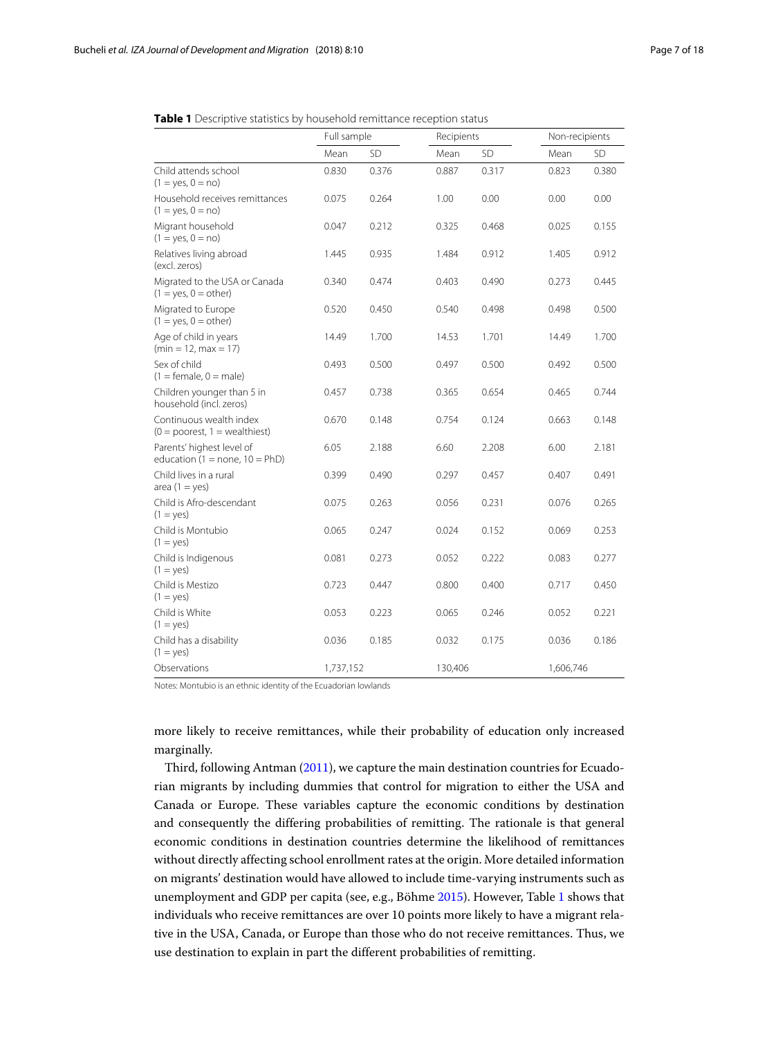|                                                                | Full sample |       |         | Recipients |           | Non-recipients |  |
|----------------------------------------------------------------|-------------|-------|---------|------------|-----------|----------------|--|
|                                                                | Mean        | SD    | Mean    | SD         | Mean      | <b>SD</b>      |  |
| Child attends school<br>$(1 = yes, 0 = no)$                    | 0.830       | 0.376 | 0.887   | 0.317      | 0.823     | 0.380          |  |
| Household receives remittances<br>$(1 = yes, 0 = no)$          | 0.075       | 0.264 | 1.00    | 0.00       | 0.00      | 0.00           |  |
| Migrant household<br>$(1 = yes, 0 = no)$                       | 0.047       | 0.212 | 0.325   | 0.468      | 0.025     | 0.155          |  |
| Relatives living abroad<br>(excl. zeros)                       | 1.445       | 0.935 | 1.484   | 0.912      | 1.405     | 0.912          |  |
| Migrated to the USA or Canada<br>$(1 = yes, 0 = other)$        | 0.340       | 0.474 | 0.403   | 0.490      | 0.273     | 0.445          |  |
| Migrated to Europe<br>$(1 = yes, 0 = other)$                   | 0.520       | 0.450 | 0.540   | 0.498      | 0.498     | 0.500          |  |
| Age of child in years<br>$(min = 12, max = 17)$                | 14.49       | 1.700 | 14.53   | 1.701      | 14.49     | 1.700          |  |
| Sex of child<br>$(1 = female, 0 = male)$                       | 0.493       | 0.500 | 0.497   | 0.500      | 0.492     | 0.500          |  |
| Children younger than 5 in<br>household (incl. zeros)          | 0.457       | 0.738 | 0.365   | 0.654      | 0.465     | 0.744          |  |
| Continuous wealth index<br>$(0 =$ poorest, $1 =$ wealthiest)   | 0.670       | 0.148 | 0.754   | 0.124      | 0.663     | 0.148          |  |
| Parents' highest level of<br>education (1 = none, $10 = PhD$ ) | 6.05        | 2.188 | 6.60    | 2.208      | 6.00      | 2.181          |  |
| Child lives in a rural<br>area $(1 = yes)$                     | 0.399       | 0.490 | 0.297   | 0.457      | 0.407     | 0.491          |  |
| Child is Afro-descendant<br>$(1 = yes)$                        | 0.075       | 0.263 | 0.056   | 0.231      | 0.076     | 0.265          |  |
| Child is Montubio<br>$(1 = yes)$                               | 0.065       | 0.247 | 0.024   | 0.152      | 0.069     | 0.253          |  |
| Child is Indigenous<br>$(1 = yes)$                             | 0.081       | 0.273 | 0.052   | 0.222      | 0.083     | 0.277          |  |
| Child is Mestizo<br>$(1 = yes)$                                | 0.723       | 0.447 | 0.800   | 0.400      | 0.717     | 0.450          |  |
| Child is White<br>$(1 = yes)$                                  | 0.053       | 0.223 | 0.065   | 0.246      | 0.052     | 0.221          |  |
| Child has a disability<br>$(1 = yes)$                          | 0.036       | 0.185 | 0.032   | 0.175      | 0.036     | 0.186          |  |
| Observations                                                   | 1,737,152   |       | 130,406 |            | 1,606,746 |                |  |

<span id="page-6-0"></span>

| <b>Table 1</b> Descriptive statistics by household remittance reception status |  |  |  |  |  |
|--------------------------------------------------------------------------------|--|--|--|--|--|
|--------------------------------------------------------------------------------|--|--|--|--|--|

Notes: Montubio is an ethnic identity of the Ecuadorian lowlands

more likely to receive remittances, while their probability of education only increased marginally.

Third, following Antman [\(2011\)](#page-16-20), we capture the main destination countries for Ecuadorian migrants by including dummies that control for migration to either the USA and Canada or Europe. These variables capture the economic conditions by destination and consequently the differing probabilities of remitting. The rationale is that general economic conditions in destination countries determine the likelihood of remittances without directly affecting school enrollment rates at the origin. More detailed information on migrants' destination would have allowed to include time-varying instruments such as unemployment and GDP per capita (see, e.g., Böhme [2015\)](#page-16-11). However, Table [1](#page-6-0) shows that individuals who receive remittances are over 10 points more likely to have a migrant relative in the USA, Canada, or Europe than those who do not receive remittances. Thus, we use destination to explain in part the different probabilities of remitting.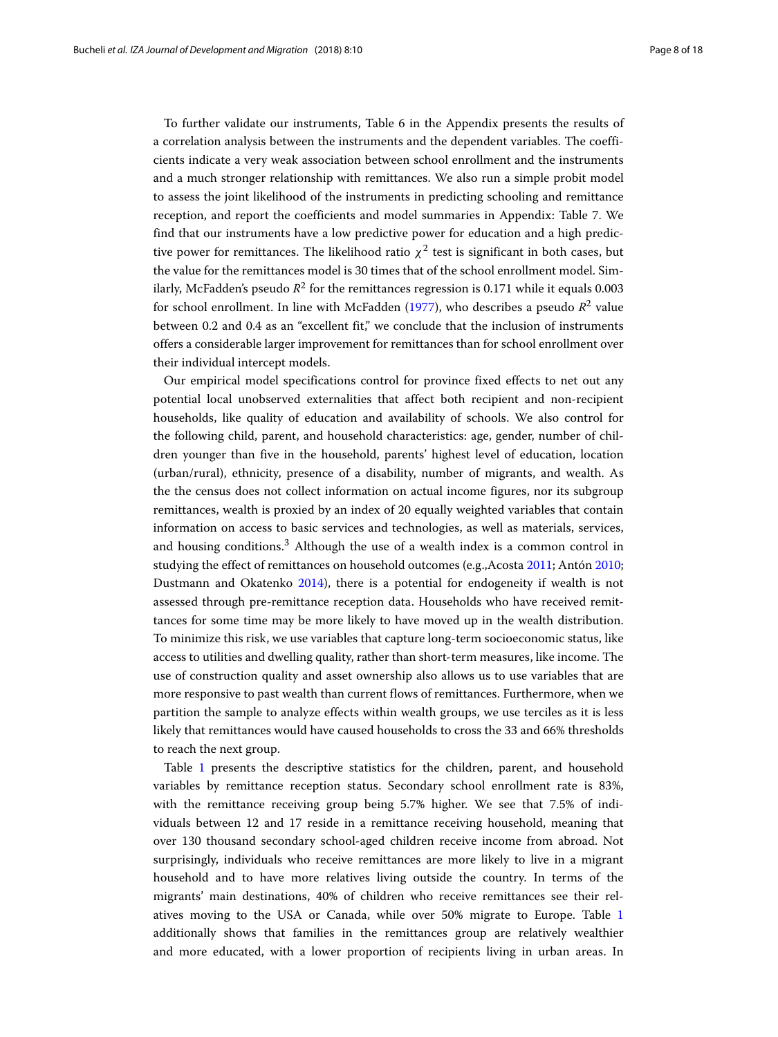To further validate our instruments, Table 6 in the Appendix presents the results of a correlation analysis between the instruments and the dependent variables. The coefficients indicate a very weak association between school enrollment and the instruments and a much stronger relationship with remittances. We also run a simple probit model to assess the joint likelihood of the instruments in predicting schooling and remittance reception, and report the coefficients and model summaries in Appendix: Table 7. We find that our instruments have a low predictive power for education and a high predictive power for remittances. The likelihood ratio  $\chi^2$  test is significant in both cases, but the value for the remittances model is 30 times that of the school enrollment model. Similarly, McFadden's pseudo  $R^2$  for the remittances regression is 0.171 while it equals 0.003 for school enrollment. In line with McFadden  $(1977)$ , who describes a pseudo  $R^2$  value between 0.2 and 0.4 as an "excellent fit," we conclude that the inclusion of instruments offers a considerable larger improvement for remittances than for school enrollment over their individual intercept models.

Our empirical model specifications control for province fixed effects to net out any potential local unobserved externalities that affect both recipient and non-recipient households, like quality of education and availability of schools. We also control for the following child, parent, and household characteristics: age, gender, number of children younger than five in the household, parents' highest level of education, location (urban/rural), ethnicity, presence of a disability, number of migrants, and wealth. As the the census does not collect information on actual income figures, nor its subgroup remittances, wealth is proxied by an index of 20 equally weighted variables that contain information on access to basic services and technologies, as well as materials, services, and housing conditions.<sup>3</sup> Although the use of a wealth index is a common control in studying the effect of remittances on household outcomes (e.g.,Acosta [2011;](#page-16-19) Antón [2010;](#page-16-22) Dustmann and Okatenko [2014\)](#page-16-23), there is a potential for endogeneity if wealth is not assessed through pre-remittance reception data. Households who have received remittances for some time may be more likely to have moved up in the wealth distribution. To minimize this risk, we use variables that capture long-term socioeconomic status, like access to utilities and dwelling quality, rather than short-term measures, like income. The use of construction quality and asset ownership also allows us to use variables that are more responsive to past wealth than current flows of remittances. Furthermore, when we partition the sample to analyze effects within wealth groups, we use terciles as it is less likely that remittances would have caused households to cross the 33 and 66% thresholds to reach the next group.

Table [1](#page-6-0) presents the descriptive statistics for the children, parent, and household variables by remittance reception status. Secondary school enrollment rate is 83%, with the remittance receiving group being 5.7% higher. We see that 7.5% of individuals between 12 and 17 reside in a remittance receiving household, meaning that over 130 thousand secondary school-aged children receive income from abroad. Not surprisingly, individuals who receive remittances are more likely to live in a migrant household and to have more relatives living outside the country. In terms of the migrants' main destinations, 40% of children who receive remittances see their relatives moving to the USA or Canada, while over 50% migrate to Europe. Table [1](#page-6-0) additionally shows that families in the remittances group are relatively wealthier and more educated, with a lower proportion of recipients living in urban areas. In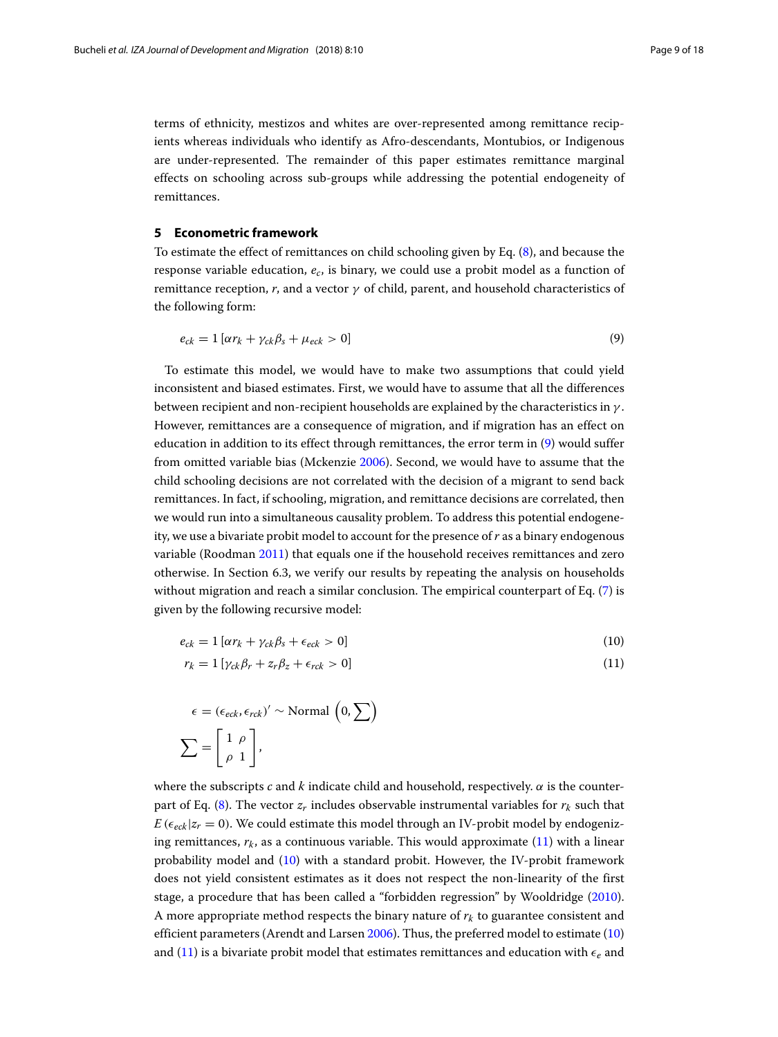terms of ethnicity, mestizos and whites are over-represented among remittance recipients whereas individuals who identify as Afro-descendants, Montubios, or Indigenous are under-represented. The remainder of this paper estimates remittance marginal effects on schooling across sub-groups while addressing the potential endogeneity of remittances.

#### **5 Econometric framework**

To estimate the effect of remittances on child schooling given by Eq. [\(8\)](#page-4-0), and because the response variable education, *ec*, is binary, we could use a probit model as a function of remittance reception,  $r$ , and a vector  $\gamma$  of child, parent, and household characteristics of the following form:

<span id="page-8-0"></span>
$$
e_{ck} = 1 \left[ \alpha r_k + \gamma_{ck} \beta_s + \mu_{eck} > 0 \right] \tag{9}
$$

To estimate this model, we would have to make two assumptions that could yield inconsistent and biased estimates. First, we would have to assume that all the differences between recipient and non-recipient households are explained by the characteristics in  $\gamma$ . However, remittances are a consequence of migration, and if migration has an effect on education in addition to its effect through remittances, the error term in [\(9\)](#page-8-0) would suffer from omitted variable bias (Mckenzie [2006\)](#page-16-24). Second, we would have to assume that the child schooling decisions are not correlated with the decision of a migrant to send back remittances. In fact, if schooling, migration, and remittance decisions are correlated, then we would run into a simultaneous causality problem. To address this potential endogeneity, we use a bivariate probit model to account for the presence of*r* as a binary endogenous variable (Roodman [2011\)](#page-17-7) that equals one if the household receives remittances and zero otherwise. In Section 6.3, we verify our results by repeating the analysis on households without migration and reach a similar conclusion. The empirical counterpart of Eq. [\(7\)](#page-3-0) is given by the following recursive model:

$$
e_{ck} = 1 \left[ \alpha r_k + \gamma_{ck} \beta_s + \epsilon_{eck} > 0 \right] \tag{10}
$$

<span id="page-8-2"></span><span id="page-8-1"></span>
$$
r_k = 1 \left[ \gamma_{ck} \beta_r + z_r \beta_z + \epsilon_{rck} > 0 \right] \tag{11}
$$

$$
\epsilon = (\epsilon_{eck}, \epsilon_{rck})' \sim \text{Normal} \left( 0, \sum \right)
$$

$$
\sum = \begin{bmatrix} 1 & \rho \\ \rho & 1 \end{bmatrix},
$$

where the subscripts  $c$  and  $k$  indicate child and household, respectively.  $\alpha$  is the counter-part of Eq. [\(8\)](#page-4-0). The vector  $z_r$  includes observable instrumental variables for  $r_k$  such that  $E\left(\epsilon_{eck}|z_r=0\right)$ . We could estimate this model through an IV-probit model by endogenizing remittances,  $r_k$ , as a continuous variable. This would approximate [\(11\)](#page-8-1) with a linear probability model and [\(10\)](#page-8-2) with a standard probit. However, the IV-probit framework does not yield consistent estimates as it does not respect the non-linearity of the first stage, a procedure that has been called a "forbidden regression" by Wooldridge [\(2010\)](#page-17-8). A more appropriate method respects the binary nature of  $r_k$  to guarantee consistent and efficient parameters (Arendt and Larsen [2006\)](#page-16-25). Thus, the preferred model to estimate [\(10\)](#page-8-2) and ( $11$ ) is a bivariate probit model that estimates remittances and education with  $\epsilon_e$  and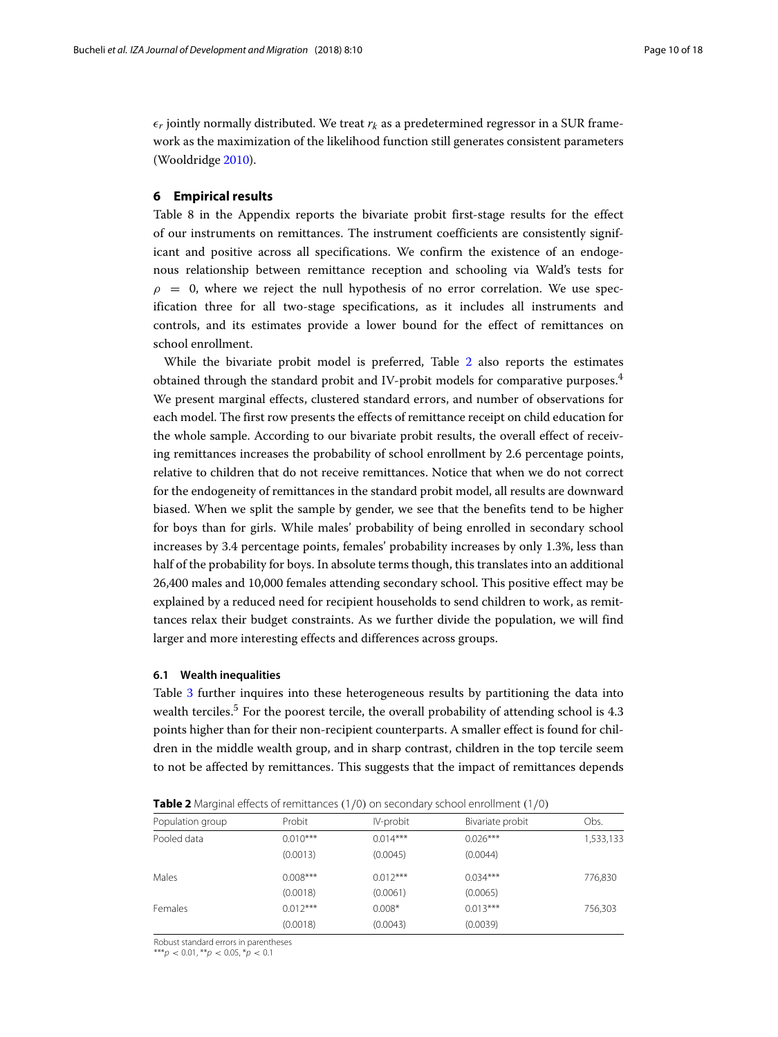$\epsilon_r$  jointly normally distributed. We treat  $r_k$  as a predetermined regressor in a SUR framework as the maximization of the likelihood function still generates consistent parameters (Wooldridge [2010\)](#page-17-8).

#### **6 Empirical results**

Table 8 in the Appendix reports the bivariate probit first-stage results for the effect of our instruments on remittances. The instrument coefficients are consistently significant and positive across all specifications. We confirm the existence of an endogenous relationship between remittance reception and schooling via Wald's tests for  $\rho = 0$ , where we reject the null hypothesis of no error correlation. We use specification three for all two-stage specifications, as it includes all instruments and controls, and its estimates provide a lower bound for the effect of remittances on school enrollment.

While the bivariate probit model is preferred, Table [2](#page-9-0) also reports the estimates obtained through the standard probit and IV-probit models for comparative purposes.<sup>4</sup> We present marginal effects, clustered standard errors, and number of observations for each model. The first row presents the effects of remittance receipt on child education for the whole sample. According to our bivariate probit results, the overall effect of receiving remittances increases the probability of school enrollment by 2.6 percentage points, relative to children that do not receive remittances. Notice that when we do not correct for the endogeneity of remittances in the standard probit model, all results are downward biased. When we split the sample by gender, we see that the benefits tend to be higher for boys than for girls. While males' probability of being enrolled in secondary school increases by 3.4 percentage points, females' probability increases by only 1.3%, less than half of the probability for boys. In absolute terms though, this translates into an additional 26,400 males and 10,000 females attending secondary school. This positive effect may be explained by a reduced need for recipient households to send children to work, as remittances relax their budget constraints. As we further divide the population, we will find larger and more interesting effects and differences across groups.

### **6.1 Wealth inequalities**

Table [3](#page-10-0) further inquires into these heterogeneous results by partitioning the data into wealth terciles.<sup>5</sup> For the poorest tercile, the overall probability of attending school is 4.3 points higher than for their non-recipient counterparts. A smaller effect is found for children in the middle wealth group, and in sharp contrast, children in the top tercile seem to not be affected by remittances. This suggests that the impact of remittances depends

<span id="page-9-0"></span>

|  |  | Table 2 Marginal effects of remittances (1/0) on secondary school enrollment (1/0) |  |
|--|--|------------------------------------------------------------------------------------|--|
|--|--|------------------------------------------------------------------------------------|--|

| Obs.      |
|-----------|
|           |
| 1,533,133 |
|           |
| 776,830   |
|           |
| 756,303   |
|           |
|           |

Robust standard errors in parentheses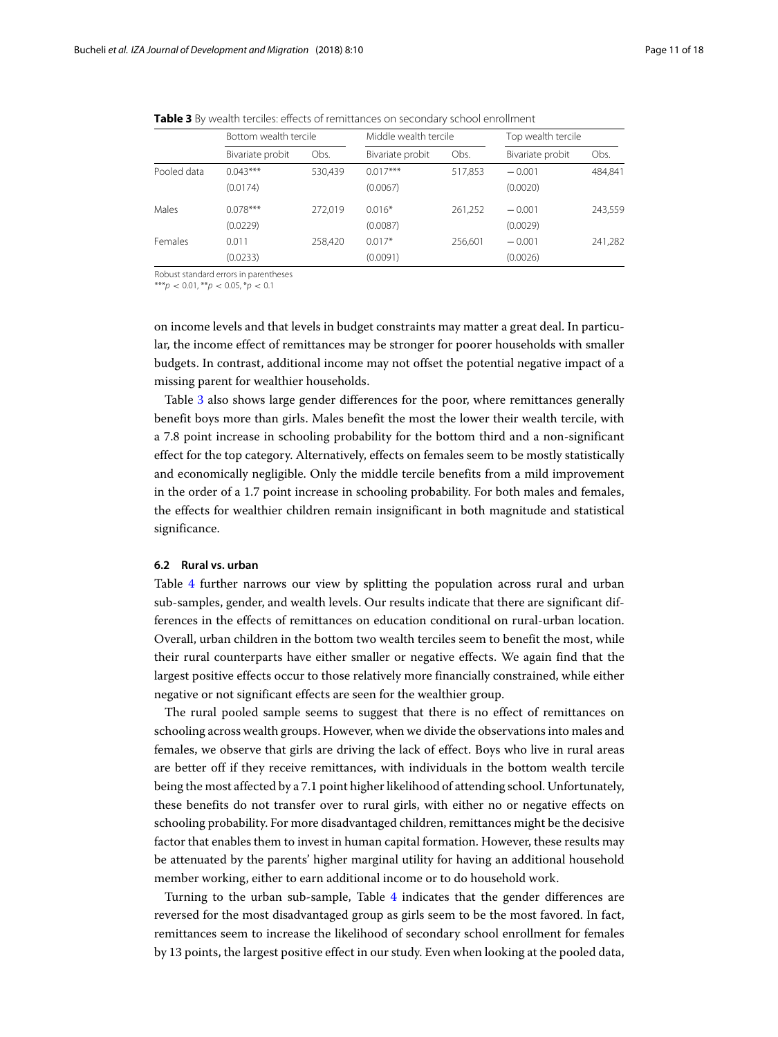|  |  | <b>Table 3</b> By wealth terciles: effects of remittances on secondary school enrollment |  |  |  |
|--|--|------------------------------------------------------------------------------------------|--|--|--|
|--|--|------------------------------------------------------------------------------------------|--|--|--|

<span id="page-10-0"></span>

|             | Bottom wealth tercile |         | Middle wealth tercile |         | Top wealth tercile |         |
|-------------|-----------------------|---------|-----------------------|---------|--------------------|---------|
|             | Bivariate probit      | Obs.    | Bivariate probit      | Obs.    | Bivariate probit   | Obs.    |
| Pooled data | $0.043***$            | 530,439 | $0.017***$            | 517,853 | $-0.001$           | 484,841 |
|             | (0.0174)              |         | (0.0067)              |         | (0.0020)           |         |
| Males       | $0.078***$            | 272.019 | $0.016*$              | 261,252 | $-0.001$           | 243,559 |
|             | (0.0229)              |         | (0.0087)              |         | (0.0029)           |         |
| Females     | 0.011                 | 258,420 | $0.017*$              | 256.601 | $-0.001$           | 241,282 |
|             | (0.0233)              |         | (0.0091)              |         | (0.0026)           |         |

Robust standard errors in parentheses

\*\*\* $p < 0.01$ , \*\* $p < 0.05$ , \* $p < 0.1$ 

on income levels and that levels in budget constraints may matter a great deal. In particular, the income effect of remittances may be stronger for poorer households with smaller budgets. In contrast, additional income may not offset the potential negative impact of a missing parent for wealthier households.

Table [3](#page-10-0) also shows large gender differences for the poor, where remittances generally benefit boys more than girls. Males benefit the most the lower their wealth tercile, with a 7.8 point increase in schooling probability for the bottom third and a non-significant effect for the top category. Alternatively, effects on females seem to be mostly statistically and economically negligible. Only the middle tercile benefits from a mild improvement in the order of a 1.7 point increase in schooling probability. For both males and females, the effects for wealthier children remain insignificant in both magnitude and statistical significance.

#### **6.2 Rural vs. urban**

Table [4](#page-11-0) further narrows our view by splitting the population across rural and urban sub-samples, gender, and wealth levels. Our results indicate that there are significant differences in the effects of remittances on education conditional on rural-urban location. Overall, urban children in the bottom two wealth terciles seem to benefit the most, while their rural counterparts have either smaller or negative effects. We again find that the largest positive effects occur to those relatively more financially constrained, while either negative or not significant effects are seen for the wealthier group.

The rural pooled sample seems to suggest that there is no effect of remittances on schooling across wealth groups. However, when we divide the observations into males and females, we observe that girls are driving the lack of effect. Boys who live in rural areas are better off if they receive remittances, with individuals in the bottom wealth tercile being the most affected by a 7.1 point higher likelihood of attending school. Unfortunately, these benefits do not transfer over to rural girls, with either no or negative effects on schooling probability. For more disadvantaged children, remittances might be the decisive factor that enables them to invest in human capital formation. However, these results may be attenuated by the parents' higher marginal utility for having an additional household member working, either to earn additional income or to do household work.

Turning to the urban sub-sample, Table [4](#page-11-0) indicates that the gender differences are reversed for the most disadvantaged group as girls seem to be the most favored. In fact, remittances seem to increase the likelihood of secondary school enrollment for females by 13 points, the largest positive effect in our study. Even when looking at the pooled data,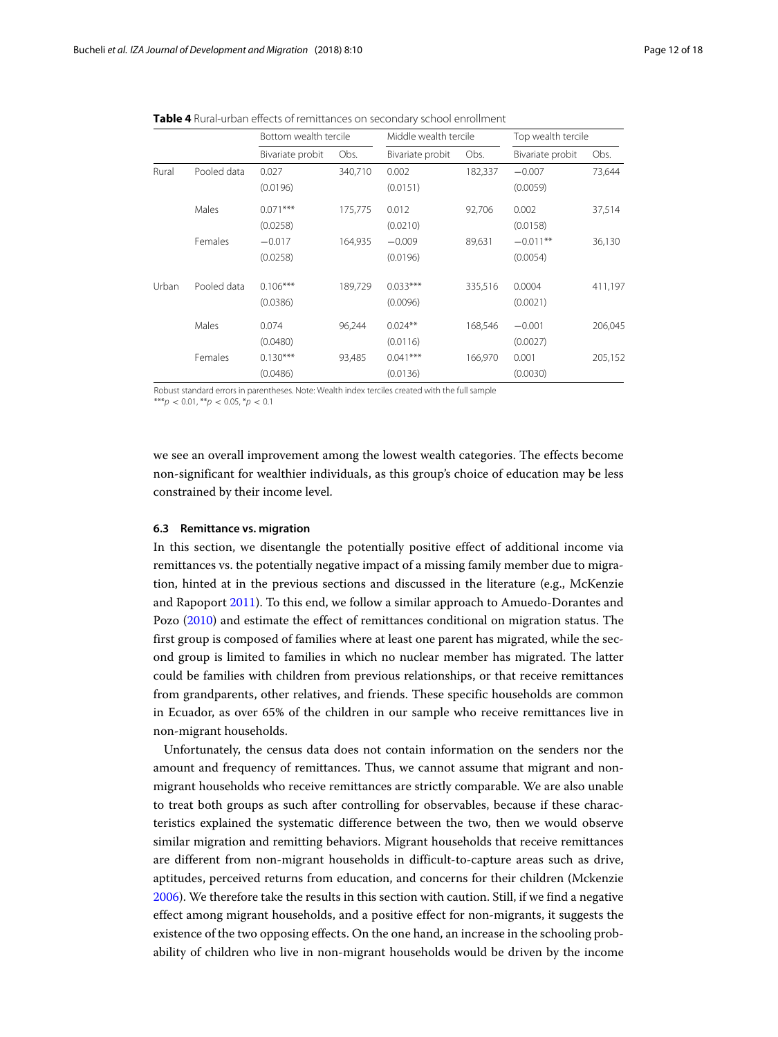<span id="page-11-0"></span>**Table 4** Rural-urban effects of remittances on secondary school enrollment

|       |             | Bottom wealth tercile |         | Middle wealth tercile |         | Top wealth tercile |         |
|-------|-------------|-----------------------|---------|-----------------------|---------|--------------------|---------|
|       |             | Bivariate probit      | Obs.    | Bivariate probit      | Obs.    | Bivariate probit   | Obs.    |
| Rural | Pooled data | 0.027                 | 340,710 | 0.002                 | 182,337 | $-0.007$           | 73,644  |
|       |             | (0.0196)              |         | (0.0151)              |         | (0.0059)           |         |
|       | Males       | $0.071***$            | 175,775 | 0.012                 | 92,706  | 0.002              | 37,514  |
|       |             | (0.0258)              |         | (0.0210)              |         | (0.0158)           |         |
|       | Females     | $-0.017$              | 164,935 | $-0.009$              | 89,631  | $-0.011**$         | 36,130  |
|       |             | (0.0258)              |         | (0.0196)              |         | (0.0054)           |         |
| Urban | Pooled data | $0.106***$            | 189,729 | $0.033***$            | 335,516 | 0.0004             | 411,197 |
|       |             | (0.0386)              |         | (0.0096)              |         | (0.0021)           |         |
|       | Males       | 0.074                 | 96,244  | $0.024**$             | 168,546 | $-0.001$           | 206,045 |
|       |             | (0.0480)              |         | (0.0116)              |         | (0.0027)           |         |
|       | Females     | $0.130***$            | 93,485  | $0.041***$            | 166,970 | 0.001              | 205,152 |
|       |             | (0.0486)              |         | (0.0136)              |         | (0.0030)           |         |

Robust standard errors in parentheses. Note: Wealth index terciles created with the full sample

\*\*\*p < 0.01, \*\*p < 0.05, \*p < 0.1

we see an overall improvement among the lowest wealth categories. The effects become non-significant for wealthier individuals, as this group's choice of education may be less constrained by their income level.

### **6.3 Remittance vs. migration**

In this section, we disentangle the potentially positive effect of additional income via remittances vs. the potentially negative impact of a missing family member due to migration, hinted at in the previous sections and discussed in the literature (e.g., McKenzie and Rapoport [2011\)](#page-16-14). To this end, we follow a similar approach to Amuedo-Dorantes and Pozo [\(2010\)](#page-16-12) and estimate the effect of remittances conditional on migration status. The first group is composed of families where at least one parent has migrated, while the second group is limited to families in which no nuclear member has migrated. The latter could be families with children from previous relationships, or that receive remittances from grandparents, other relatives, and friends. These specific households are common in Ecuador, as over 65% of the children in our sample who receive remittances live in non-migrant households.

Unfortunately, the census data does not contain information on the senders nor the amount and frequency of remittances. Thus, we cannot assume that migrant and nonmigrant households who receive remittances are strictly comparable. We are also unable to treat both groups as such after controlling for observables, because if these characteristics explained the systematic difference between the two, then we would observe similar migration and remitting behaviors. Migrant households that receive remittances are different from non-migrant households in difficult-to-capture areas such as drive, aptitudes, perceived returns from education, and concerns for their children (Mckenzie [2006\)](#page-16-24). We therefore take the results in this section with caution. Still, if we find a negative effect among migrant households, and a positive effect for non-migrants, it suggests the existence of the two opposing effects. On the one hand, an increase in the schooling probability of children who live in non-migrant households would be driven by the income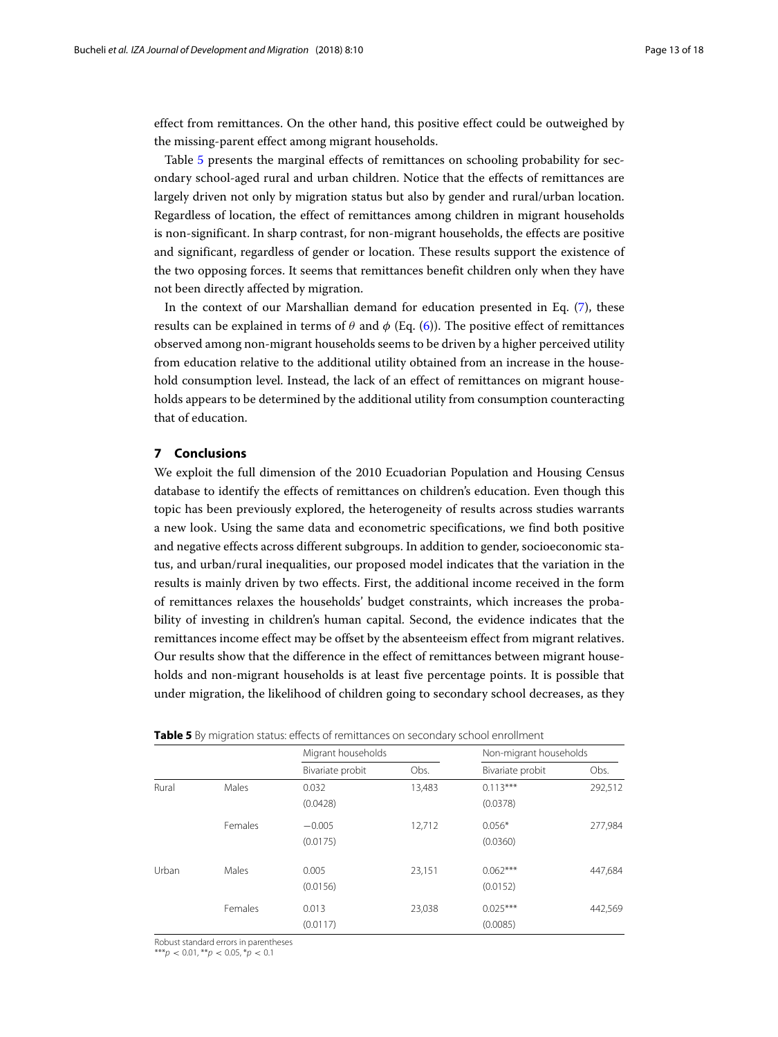effect from remittances. On the other hand, this positive effect could be outweighed by the missing-parent effect among migrant households.

Table [5](#page-12-0) presents the marginal effects of remittances on schooling probability for secondary school-aged rural and urban children. Notice that the effects of remittances are largely driven not only by migration status but also by gender and rural/urban location. Regardless of location, the effect of remittances among children in migrant households is non-significant. In sharp contrast, for non-migrant households, the effects are positive and significant, regardless of gender or location. These results support the existence of the two opposing forces. It seems that remittances benefit children only when they have not been directly affected by migration.

In the context of our Marshallian demand for education presented in Eq. [\(7\)](#page-3-0), these results can be explained in terms of  $\theta$  and  $\phi$  (Eq. [\(6\)](#page-3-1)). The positive effect of remittances observed among non-migrant households seems to be driven by a higher perceived utility from education relative to the additional utility obtained from an increase in the household consumption level. Instead, the lack of an effect of remittances on migrant households appears to be determined by the additional utility from consumption counteracting that of education.

#### **7 Conclusions**

We exploit the full dimension of the 2010 Ecuadorian Population and Housing Census database to identify the effects of remittances on children's education. Even though this topic has been previously explored, the heterogeneity of results across studies warrants a new look. Using the same data and econometric specifications, we find both positive and negative effects across different subgroups. In addition to gender, socioeconomic status, and urban/rural inequalities, our proposed model indicates that the variation in the results is mainly driven by two effects. First, the additional income received in the form of remittances relaxes the households' budget constraints, which increases the probability of investing in children's human capital. Second, the evidence indicates that the remittances income effect may be offset by the absenteeism effect from migrant relatives. Our results show that the difference in the effect of remittances between migrant households and non-migrant households is at least five percentage points. It is possible that under migration, the likelihood of children going to secondary school decreases, as they

|       |         | Migrant households |        | Non-migrant households |         |
|-------|---------|--------------------|--------|------------------------|---------|
|       |         | Bivariate probit   | Obs.   | Bivariate probit       | Obs.    |
| Rural | Males   | 0.032              | 13,483 | $0.113***$             | 292,512 |
|       |         | (0.0428)           |        | (0.0378)               |         |
|       | Females | $-0.005$           | 12,712 | $0.056*$               | 277,984 |
|       |         | (0.0175)           |        | (0.0360)               |         |
| Urban | Males   | 0.005              | 23,151 | $0.062***$             | 447,684 |
|       |         | (0.0156)           |        | (0.0152)               |         |
|       | Females | 0.013              | 23,038 | $0.025***$             | 442,569 |
|       |         | (0.0117)           |        | (0.0085)               |         |

<span id="page-12-0"></span>

| <b>Table 5</b> By migration status: effects of remittances on secondary school enrollment |  |  |
|-------------------------------------------------------------------------------------------|--|--|
|                                                                                           |  |  |

Robust standard errors in parentheses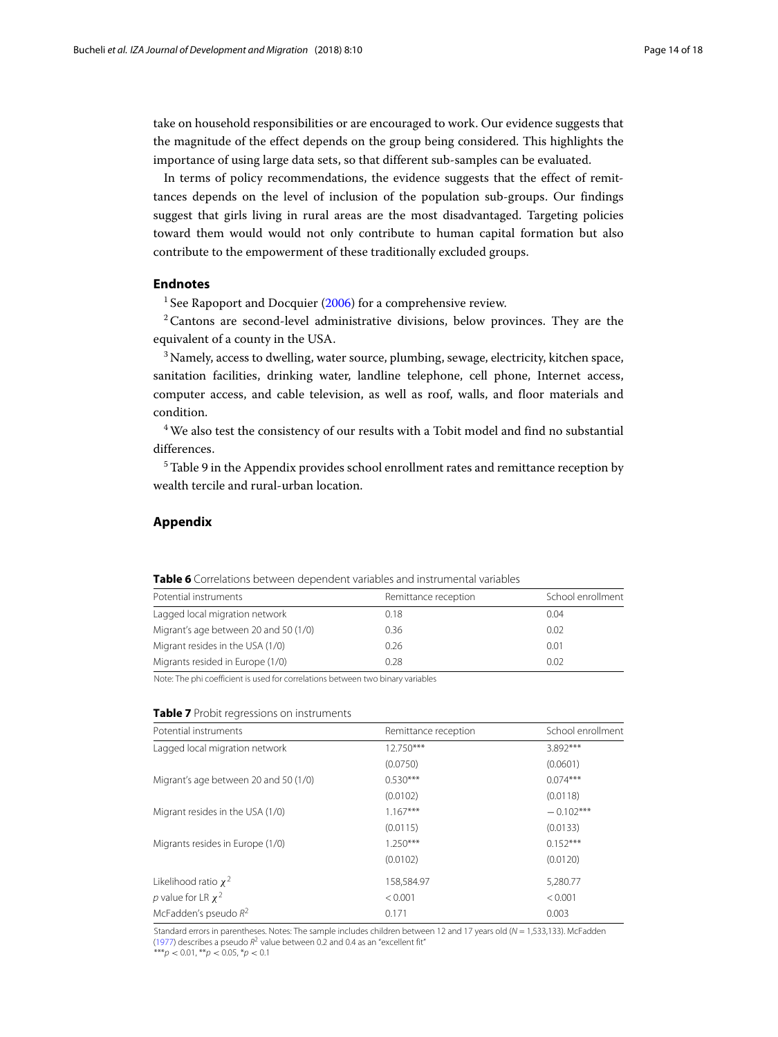take on household responsibilities or are encouraged to work. Our evidence suggests that the magnitude of the effect depends on the group being considered. This highlights the importance of using large data sets, so that different sub-samples can be evaluated.

In terms of policy recommendations, the evidence suggests that the effect of remittances depends on the level of inclusion of the population sub-groups. Our findings suggest that girls living in rural areas are the most disadvantaged. Targeting policies toward them would would not only contribute to human capital formation but also contribute to the empowerment of these traditionally excluded groups.

#### **Endnotes**

 $1$  See Rapoport and Docquier [\(2006\)](#page-17-9) for a comprehensive review.

 $2$ Cantons are second-level administrative divisions, below provinces. They are the equivalent of a county in the USA.

<sup>3</sup> Namely, access to dwelling, water source, plumbing, sewage, electricity, kitchen space, sanitation facilities, drinking water, landline telephone, cell phone, Internet access, computer access, and cable television, as well as roof, walls, and floor materials and condition.

<sup>4</sup> We also test the consistency of our results with a Tobit model and find no substantial differences.

5Table 9 in the Appendix provides school enrollment rates and remittance reception by wealth tercile and rural-urban location.

# **Appendix**

| Table 6 Correlations between dependent variables and instrumental variables |                      |                   |  |  |
|-----------------------------------------------------------------------------|----------------------|-------------------|--|--|
| Potential instruments                                                       | Remittance reception | School enrollment |  |  |
| Lagged local migration network                                              | 0.18                 | 0.04              |  |  |
| Migrant's age between 20 and 50 (1/0)                                       | 0.36                 | 0.02              |  |  |
| Migrant resides in the USA (1/0)                                            | 0.26                 | 0.01              |  |  |
| Migrants resided in Europe (1/0)                                            | 0.28                 | 0.02              |  |  |

Note: The phi coefficient is used for correlations between two binary variables

#### **Table 7** Probit regressions on instruments

| Potential instruments                 | Remittance reception | School enrollment |
|---------------------------------------|----------------------|-------------------|
| Lagged local migration network        | $12.750***$          | 3.892***          |
|                                       | (0.0750)             | (0.0601)          |
| Migrant's age between 20 and 50 (1/0) | $0.530***$           | $0.074***$        |
|                                       | (0.0102)             | (0.0118)          |
| Migrant resides in the USA (1/0)      | $1.167***$           | $-0.102***$       |
|                                       | (0.0115)             | (0.0133)          |
| Migrants resides in Europe (1/0)      | $1.250***$           | $0.152***$        |
|                                       | (0.0102)             | (0.0120)          |
| Likelihood ratio $\chi^2$             | 158,584.97           | 5,280.77          |
| p value for LR $\chi^2$               | < 0.001              | < 0.001           |
| McFadden's pseudo $R^2$               | 0.171                | 0.003             |

Standard errors in parentheses. Notes: The sample includes children between 12 and 17 years old ( $N = 1.533,133$ ). McFadden [\(1977\)](#page-16-21) describes a pseudo  $R^2$  value between 0.2 and 0.4 as an "excellent fit"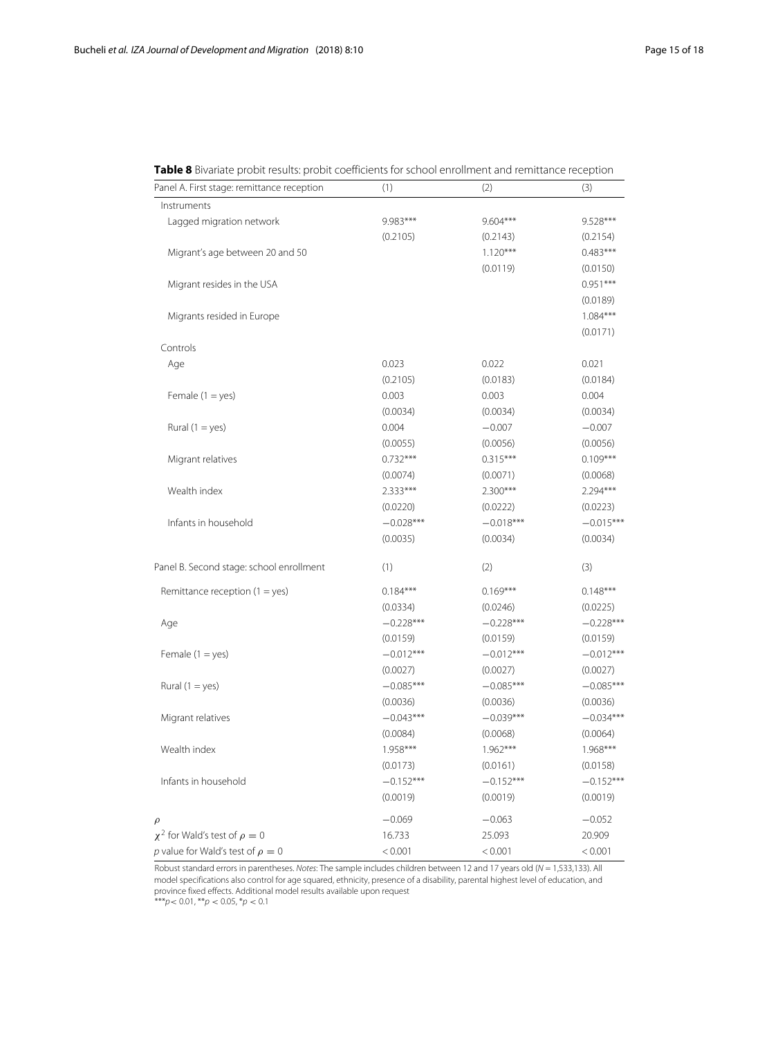| Panel A. First stage: remittance reception | (1)         | (2)         | (3)         |
|--------------------------------------------|-------------|-------------|-------------|
| Instruments                                |             |             |             |
| Lagged migration network                   | 9.983***    | 9.604***    | 9.528***    |
|                                            | (0.2105)    | (0.2143)    | (0.2154)    |
| Migrant's age between 20 and 50            |             | $1.120***$  | $0.483***$  |
|                                            |             | (0.0119)    | (0.0150)    |
| Migrant resides in the USA                 |             |             | $0.951***$  |
|                                            |             |             | (0.0189)    |
| Migrants resided in Europe                 |             |             | $1.084***$  |
|                                            |             |             | (0.0171)    |
| Controls                                   |             |             |             |
| Age                                        | 0.023       | 0.022       | 0.021       |
|                                            | (0.2105)    | (0.0183)    | (0.0184)    |
| Female $(1 = yes)$                         | 0.003       | 0.003       | 0.004       |
|                                            | (0.0034)    | (0.0034)    | (0.0034)    |
| Rural $(1 = yes)$                          | 0.004       | $-0.007$    | $-0.007$    |
|                                            | (0.0055)    | (0.0056)    | (0.0056)    |
| Migrant relatives                          | $0.732***$  | $0.315***$  | $0.109***$  |
|                                            | (0.0074)    | (0.0071)    | (0.0068)    |
| Wealth index                               | 2.333***    | $2.300***$  | 2.294***    |
|                                            | (0.0220)    | (0.0222)    | (0.0223)    |
| Infants in household                       | $-0.028***$ | $-0.018***$ | $-0.015***$ |
|                                            | (0.0035)    | (0.0034)    | (0.0034)    |
| Panel B. Second stage: school enrollment   | (1)         | (2)         | (3)         |
| Remittance reception $(1 = yes)$           | $0.184***$  | $0.169***$  | $0.148***$  |
|                                            | (0.0334)    | (0.0246)    | (0.0225)    |
| Age                                        | $-0.228***$ | $-0.228***$ | $-0.228***$ |
|                                            | (0.0159)    | (0.0159)    | (0.0159)    |
| Female $(1 = yes)$                         | $-0.012***$ | $-0.012***$ | $-0.012***$ |
|                                            | (0.0027)    | (0.0027)    | (0.0027)    |
| Rural $(1 = yes)$                          | $-0.085***$ | $-0.085***$ | $-0.085***$ |
|                                            | (0.0036)    | (0.0036)    | (0.0036)    |
| Migrant relatives                          | $-0.043***$ | $-0.039***$ | $-0.034***$ |
|                                            | (0.0084)    | (0.0068)    | (0.0064)    |
| Wealth index                               | 1.958***    | $1.962***$  | $1.968***$  |
|                                            | (0.0173)    | (0.0161)    | (0.0158)    |
| Infants in household                       | $-0.152***$ | $-0.152***$ | $-0.152***$ |
|                                            | (0.0019)    | (0.0019)    | (0.0019)    |
|                                            | $-0.069$    | $-0.063$    | $-0.052$    |
| $\chi^2$ for Wald's test of $\rho = 0$     | 16.733      | 25.093      | 20.909      |
| p value for Wald's test of $\rho = 0$      | < 0.001     | < 0.001     | < 0.001     |

**Table 8** Bivariate probit results: probit coefficients for school enrollment and remittance reception

Robust standard errors in parentheses. Notes: The sample includes children between 12 and 17 years old (N = 1,533,133). All model specifications also control for age squared, ethnicity, presence of a disability, parental highest level of education, and province fixed effects. Additional model results available upon request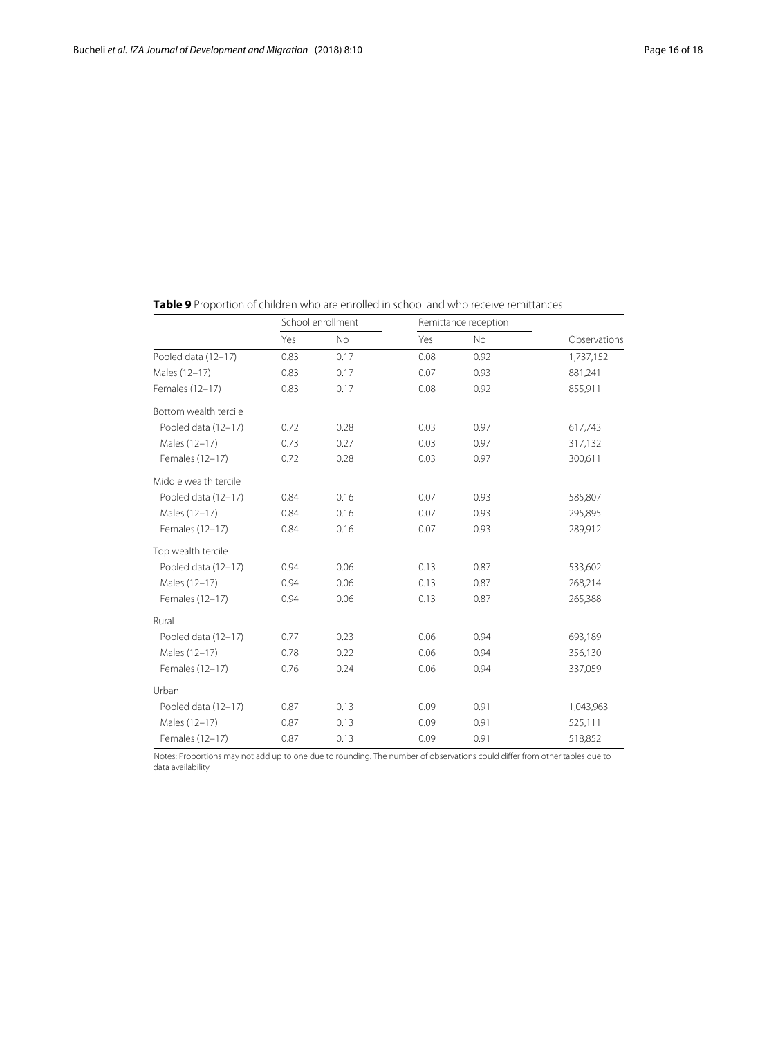|                       | School enrollment |      | Remittance reception |      |              |
|-----------------------|-------------------|------|----------------------|------|--------------|
|                       | Yes               | No   | Yes                  | No   | Observations |
| Pooled data (12-17)   | 0.83              | 0.17 | 0.08                 | 0.92 | 1,737,152    |
| Males (12-17)         | 0.83              | 0.17 | 0.07                 | 0.93 | 881,241      |
| Females (12-17)       | 0.83              | 0.17 | 0.08                 | 0.92 | 855,911      |
| Bottom wealth tercile |                   |      |                      |      |              |
| Pooled data (12-17)   | 0.72              | 0.28 | 0.03                 | 0.97 | 617,743      |
| Males (12-17)         | 0.73              | 0.27 | 0.03                 | 0.97 | 317,132      |
| Females (12-17)       | 0.72              | 0.28 | 0.03                 | 0.97 | 300,611      |
| Middle wealth tercile |                   |      |                      |      |              |
| Pooled data (12-17)   | 0.84              | 0.16 | 0.07                 | 0.93 | 585,807      |
| Males (12-17)         | 0.84              | 0.16 | 0.07                 | 0.93 | 295,895      |
| Females (12-17)       | 0.84              | 0.16 | 0.07                 | 0.93 | 289,912      |
| Top wealth tercile    |                   |      |                      |      |              |
| Pooled data (12-17)   | 0.94              | 0.06 | 0.13                 | 0.87 | 533,602      |
| Males (12-17)         | 0.94              | 0.06 | 0.13                 | 0.87 | 268,214      |
| Females (12-17)       | 0.94              | 0.06 | 0.13                 | 0.87 | 265,388      |
| Rural                 |                   |      |                      |      |              |
| Pooled data (12-17)   | 0.77              | 0.23 | 0.06                 | 0.94 | 693,189      |
| Males (12-17)         | 0.78              | 0.22 | 0.06                 | 0.94 | 356,130      |
| Females (12-17)       | 0.76              | 0.24 | 0.06                 | 0.94 | 337,059      |
| Urban                 |                   |      |                      |      |              |
| Pooled data (12-17)   | 0.87              | 0.13 | 0.09                 | 0.91 | 1,043,963    |
| Males (12-17)         | 0.87              | 0.13 | 0.09                 | 0.91 | 525,111      |
| Females (12-17)       | 0.87              | 0.13 | 0.09                 | 0.91 | 518,852      |

**Table 9** Proportion of children who are enrolled in school and who receive remittances

Notes: Proportions may not add up to one due to rounding. The number of observations could differ from other tables due to data availability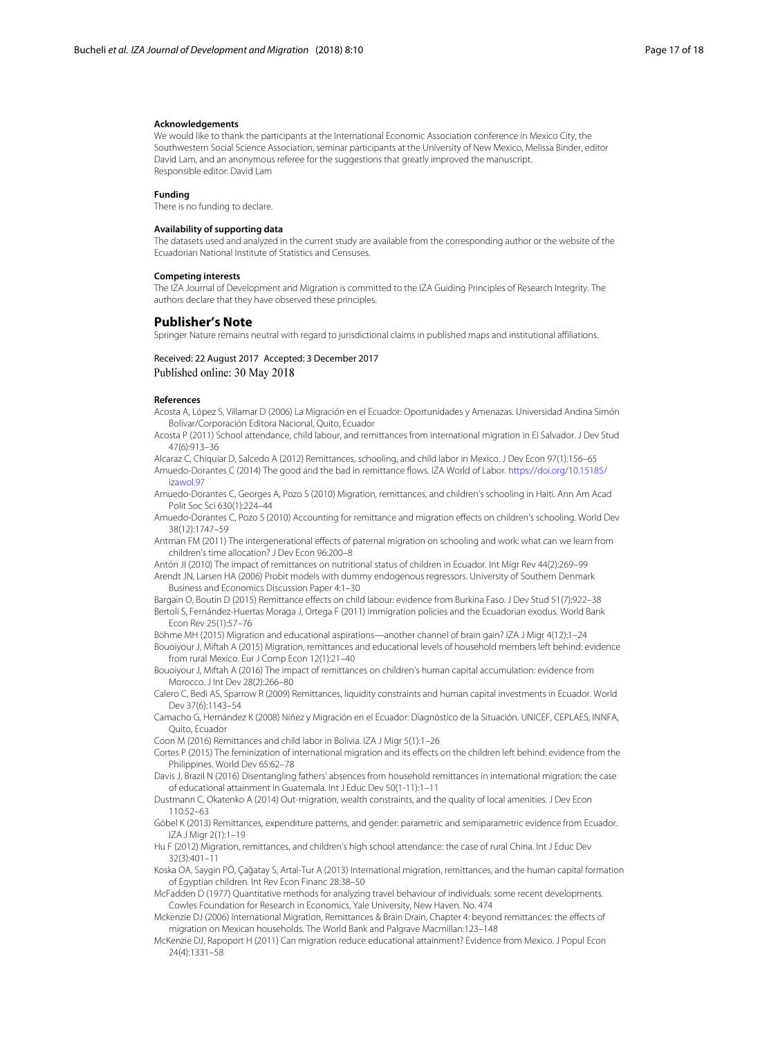#### **Acknowledgements**

We would like to thank the participants at the International Economic Association conference in Mexico City, the Southwestern Social Science Association, seminar participants at the University of New Mexico, Melissa Binder, editor David Lam, and an anonymous referee for the suggestions that greatly improved the manuscript. Responsible editor: David Lam

#### **Funding**

There is no funding to declare.

#### **Availability of supporting data**

The datasets used and analyzed in the current study are available from the corresponding author or the website of the Ecuadorian National Institute of Statistics and Censuses.

#### **Competing interests**

The IZA Journal of Development and Migration is committed to the IZA Guiding Principles of Research Integrity. The authors declare that they have observed these principles.

#### **Publisher's Note**

Springer Nature remains neutral with regard to jurisdictional claims in published maps and institutional affiliations.

#### Received: 22 August 2017 Accepted: 3 December 2017 Published online: 30 May 2018

#### **References**

<span id="page-16-17"></span>Acosta A, López S, Villamar D (2006) La Migración en el Ecuador: Oportunidades y Amenazas. Universidad Andina Simón Bolívar/Corporación Editora Nacional, Quito, Ecuador

<span id="page-16-19"></span>Acosta P (2011) School attendance, child labour, and remittances from international migration in El Salvador. J Dev Stud 47(6):913–36

<span id="page-16-6"></span><span id="page-16-0"></span>Alcaraz C, Chiquiar D, Salcedo A (2012) Remittances, schooling, and child labor in Mexico. J Dev Econ 97(1):156–65 Amuedo-Dorantes C (2014) The good and the bad in remittance flows. IZA World of Labor. [https://doi.org/10.15185/](https://doi.org/10.15185/izawol.97) [izawol.97](https://doi.org/10.15185/izawol.97)

- <span id="page-16-2"></span>Amuedo-Dorantes C, Georges A, Pozo S (2010) Migration, remittances, and children's schooling in Haiti. Ann Am Acad Polit Soc Sci 630(1):224–44
- <span id="page-16-12"></span>Amuedo-Dorantes C, Pozo S (2010) Accounting for remittance and migration effects on children's schooling. World Dev 38(12):1747–59
- <span id="page-16-20"></span>Antman FM (2011) The intergenerational effects of paternal migration on schooling and work: what can we learn from children's time allocation? J Dev Econ 96:200–8

<span id="page-16-25"></span><span id="page-16-22"></span>Antón JI (2010) The impact of remittances on nutritional status of children in Ecuador. Int Migr Rev 44(2):269–99 Arendt JN, Larsen HA (2006) Probit models with dummy endogenous regressors. University of Southern Denmark Business and Economics Discussion Paper 4:1–30

<span id="page-16-3"></span><span id="page-16-1"></span>Bargain O, Boutin D (2015) Remittance effects on child labour: evidence from Burkina Faso. J Dev Stud 51(7):922–38 Bertoli S, Fernández-Huertas Moraga J, Ortega F (2011) Immigration policies and the Ecuadorian exodus. World Bank Econ Rev 25(1):57–76

<span id="page-16-11"></span>Böhme MH (2015) Migration and educational aspirations—another channel of brain gain? IZA J Migr 4(12):1–24

- <span id="page-16-13"></span>Bouoiyour J, Miftah A (2015) Migration, remittances and educational levels of household members left behind: evidence from rural Mexico. Eur J Comp Econ 12(1):21–40
- <span id="page-16-9"></span>Bouoiyour J, Miftah A (2016) The impact of remittances on children's human capital accumulation: evidence from Morocco. J Int Dev 28(2):266–80

<span id="page-16-7"></span>Calero C, Bedi AS, Sparrow R (2009) Remittances, liquidity constraints and human capital investments in Ecuador. World Dev 37(6):1143–54

<span id="page-16-18"></span>Camacho G, Hernández K (2008) Niñez y Migración en el Ecuador: Diagnóstico de la Situación. UNICEF, CEPLAES, INNFA, Quito, Ecuador

<span id="page-16-10"></span>Coon M (2016) Remittances and child labor in Bolivia. IZA J Migr 5(1):1–26

<span id="page-16-15"></span>Cortes P (2015) The feminization of international migration and its effects on the children left behind: evidence from the Philippines. World Dev 65:62–78

<span id="page-16-16"></span>Davis J, Brazil N (2016) Disentangling fathers' absences from household remittances in international migration: the case of educational attainment in Guatemala. Int J Educ Dev 50(1-11):1–11

<span id="page-16-23"></span>Dustmann C, Okatenko A (2014) Out-migration, wealth constraints, and the quality of local amenities. J Dev Econ 110:52–63

<span id="page-16-8"></span>Göbel K (2013) Remittances, expenditure patterns, and gender: parametric and semiparametric evidence from Ecuador. IZA J Migr 2(1):1–19

<span id="page-16-4"></span>Hu F (2012) Migration, remittances, and children's high school attendance: the case of rural China. Int J Educ Dev 32(3):401–11

<span id="page-16-5"></span>Koska OA, Saygin PÖ, Çağatay S, Artal-Tur A (2013) International migration, remittances, and the human capital formation of Egyptian children. Int Rev Econ Financ 28:38–50

<span id="page-16-21"></span>McFadden D (1977) Quantitative methods for analyzing travel behaviour of individuals: some recent developments. Cowles Foundation for Research in Economics, Yale University, New Haven. No. 474

<span id="page-16-24"></span>Mckenzie DJ (2006) International Migration, Remittances & Brain Drain, Chapter 4: beyond remittances: the effects of migration on Mexican households. The World Bank and Palgrave Macmillan:123–148

<span id="page-16-14"></span>McKenzie DJ, Rapoport H (2011) Can migration reduce educational attainment? Evidence from Mexico. J Popul Econ 24(4):1331–58